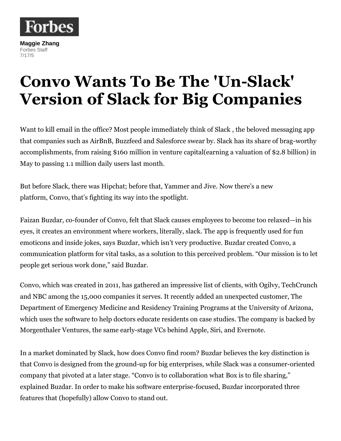

**[Maggie](http://www.forbes.com/sites/mzhang/) Zhang** Forbes Staff 7/17/5

## **Convo Wants To Be The 'Un-Slack' Version of Slack for Big Companies**

Want to kill email in the office? Most people immediately think of Slack , the beloved messaging app that companies such as AirBnB, Buzzfeed and Salesforce swear by. Slack has its share of brag-worthy accomplishments, from raising \$160 million in venture capital(earning a valuation of \$2.8 billion) in May to passing 1.1 million daily users last month.

But before Slack, there was Hipchat; before that, Yammer and Jive. Now there's a new platform, Convo, that's fighting its way into the spotlight.

Faizan Buzdar, co-founder of Convo, felt that Slack causes employees to become too relaxed—in his eyes, it creates an environment where workers, literally, slack. The app is frequently used for fun emoticons and inside jokes, says Buzdar, which isn't very productive. Buzdar created Convo, a communication platform for vital tasks, as a solution to this perceived problem. "Our mission is to let people get serious work done," said Buzdar.

Convo, which was created in 2011, has gathered an impressive list of clients, with Ogilvy, TechCrunch and NBC among the 15,000 companies it serves. It recently added an unexpected customer, The Department of Emergency Medicine and Residency Training Programs at the University of Arizona, which uses the software to help doctors educate residents on case studies. The company is backed by Morgenthaler Ventures, the same early-stage VCs behind Apple, Siri, and Evernote.

In a market dominated by Slack, how does Convo find room? Buzdar believes the key distinction is that Convo is designed from the ground-up for big enterprises, while Slack was a consumer-oriented company that pivoted at a later stage. "Convo is to collaboration what Box is to file sharing," explained Buzdar. In order to make his software enterprise-focused, Buzdar incorporated three features that (hopefully) allow Convo to stand out.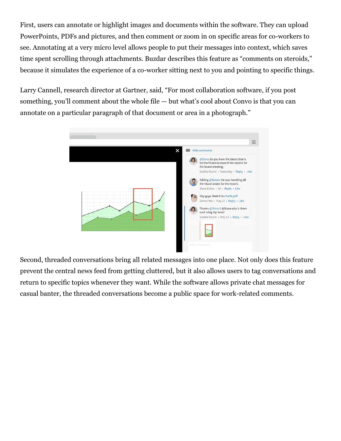First, users can annotate or highlight images and documents within the software. They can upload PowerPoints, PDFs and pictures, and then comment or zoom in on specific areas for co-workers to see. Annotating at a very micro level allows people to put their messages into context, which saves time spent scrolling through attachments. Buzdar describes this feature as "comments on steroids," because it simulates the experience of a co-worker sitting next to you and pointing to specific things.

Larry Cannell, research director at [Gartner](http://www.forbes.com/companies/gartner/), said, "For most collaboration software, if you post something, you'll comment about the whole file — but what's cool about Convo is that you can annotate on a particular paragraph of that document or area in a photograph."



Second, threaded conversations bring all related messages into one place. Not only does this feature prevent the central news feed from getting cluttered, but it also allows users to tag conversations and return to specific topics whenever they want. While the software allows private chat messages for casual banter, the threaded conversations become a public space for work-related comments.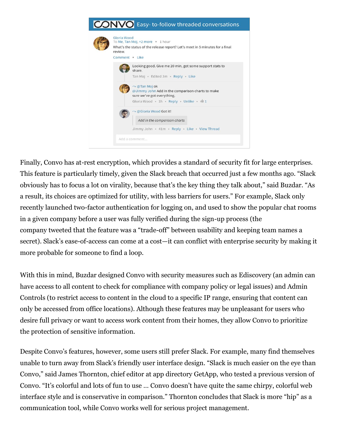

Finally, Convo has at-rest encryption, which provides a standard of security fit for large enterprises. This feature is particularly timely, given the [Slack breach](http://slackhq.com/post/114696167740/march-2015-security-incident-and-launch-of-2fa) that occurred just a few months ago. "Slack obviously has to focus a lot on virality, because that's the key thing they talk about," said Buzdar. "As a result, its choices are optimized for utility, with less barriers for users." For example, Slack only recently launched two-factor authentication for logging on, and used to show the popular chat rooms in a given company before a user was fully verified during the sign-up process (the company [tweeted](https://twitter.com/SlackHQ/status/500359649770893312) that the feature was a "trade-off" between usability and keeping team names a secret). Slack's ease-of-access can come at a cost—it can conflict with enterprise security by making it more probable for someone to find a loop.

With this in mind, Buzdar designed Convo with security measures such as Ediscovery (an admin can have access to all content to check for compliance with company policy or legal issues) and Admin Controls (to restrict access to content in the cloud to a specific IP range, ensuring that content can only be accessed from office locations). Although these features may be unpleasant for users who desire full privacy or want to access work content from their homes, they allow Convo to prioritize the protection of sensitive information.

Despite Convo's features, however, some users still prefer Slack. For example, many find themselves unable to turn away from Slack's friendly user interface design. "Slack is much easier on the eye than Convo," said James Thornton, chief editor at app directory [GetApp,](https://www.getapp.com/) who tested a previous version of Convo. "It's colorful and lots of fun to use … Convo doesn't have quite the same chirpy, colorful web interface style and is conservative in comparison." Thornton concludes that Slack is more "hip" as a communication tool, while Convo works well for serious project management.